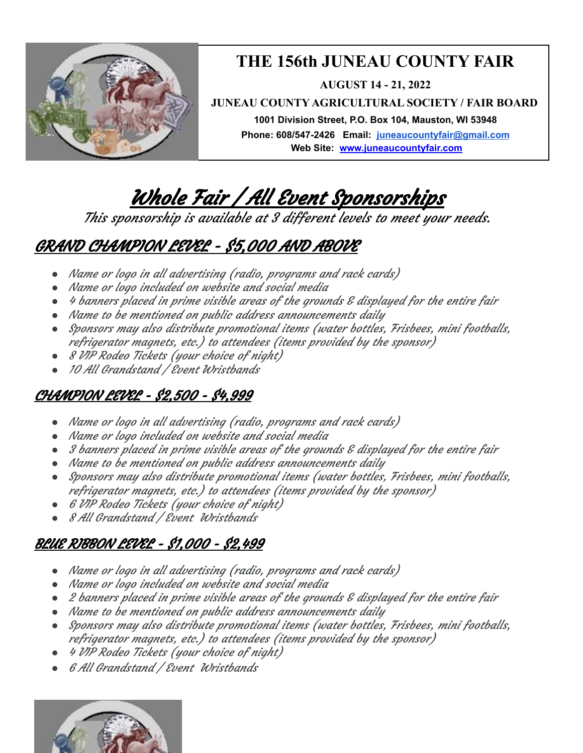

## **THE 156th JUNEAU COUNTY FAIR**

**AUGUST 14 - 21, 2022**

**JUNEAU COUNTY AGRICULTURAL SOCIETY / FAIR BOARD**

**1001 Division Street, P.O. Box 104, Mauston, WI 53948 Phone: 608/547-2426 Email: juneaucountyfair@gmail.com Web Site: [www.juneaucounty](http://www.juneaucounty/)fair.com**

# Whole Fair / All Event Sponsorships

This sponsorship is available at 3 different levels to meet your needs.

# GRAND CHAMPION LEVEL - \$5,000 AND ABOVE

- *●* Name or logo in all advertising (radio, programs and rack cards)
- *●* Name or logo included on website and social media
- *●* 4 banners placed in prime visible areas of the grounds & displayed for the entire fair
- *●* Name to be mentioned on public address announcements daily
- *●* Sponsors may also distribute promotional items (water bottles, Frisbees, mini footballs, refrigerator magnets, etc.) to attendees (items provided by the sponsor)
- *●* 8 VIP Rodeo Tickets (your choice of night)
- *●* 10 All Grandstand / Event Wristbands

### CHAMPION LEVEL - \$2,500 - \$4,999

- *●* Name or logo in all advertising (radio, programs and rack cards)
- *●* Name or logo included on website and social media
- *●* 3 banners placed in prime visible areas of the grounds & displayed for the entire fair
- *●* Name to be mentioned on public address announcements daily
- *●* Sponsors may also distribute promotional items (water bottles, Frisbees, mini footballs, refrigerator magnets, etc.) to attendees (items provided by the sponsor)
- *●* 6 VIP Rodeo Tickets (your choice of night)
- *●* 8 All Grandstand / Event Wristbands

### BLUE RIBBON LEVEL - \$1,000 - \$2,499

- *●* Name or logo in all advertising (radio, programs and rack cards)
- *●* Name or logo included on website and social media
- *●* 2 banners placed in prime visible areas of the grounds & displayed for the entire fair
- *●* Name to be mentioned on public address announcements daily
- *●* Sponsors may also distribute promotional items (water bottles, Frisbees, mini footballs, refrigerator magnets, etc.) to attendees (items provided by the sponsor)
- *●* 4 VIP Rodeo Tickets (your choice of night)
- *●* 6 All Grandstand / Event Wristbands